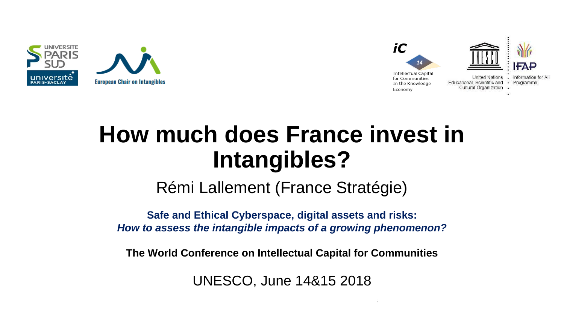



# **How much does France invest in Intangibles?**

Rémi Lallement (France Stratégie)

**Safe and Ethical Cyberspace, digital assets and risks:**  *How to assess the intangible impacts of a growing phenomenon?*

**The World Conference on Intellectual Capital for Communities**

UNESCO, June 14&15 2018

 $14\pm 15$ th June 2018 The World Conference on Intellectual Capital for Communities on Intellectual for Communities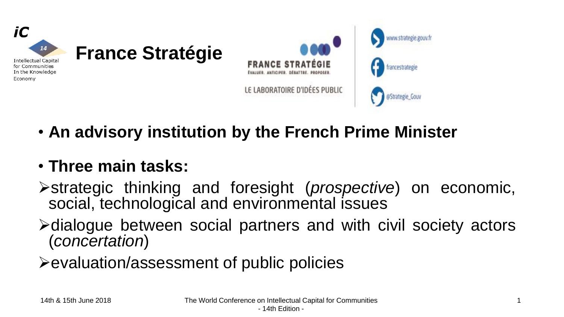

• **An advisory institution by the French Prime Minister**

### • **Three main tasks:**

- ➢strategic thinking and foresight (*prospective*) on economic, social, technological and environmental issues
- ➢dialogue between social partners and with civil society actors (*concertation*)
- ➢evaluation/assessment of public policies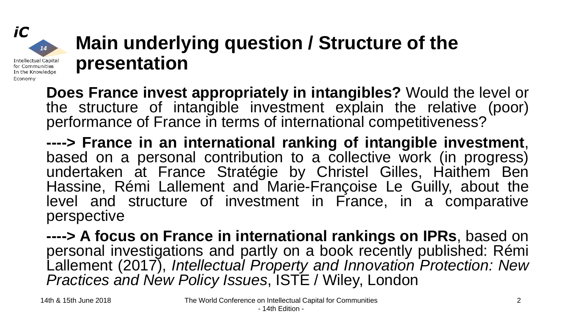# **Main underlying question / Structure of the presentation**

**Does France invest appropriately in intangibles?** Would the level or the structure of intangible investment explain the relative (poor) performance of France in terms of international competitiveness?

**----> France in an international ranking of intangible investment**, based on a personal contribution to a collective work (in progress) undertaken at France Stratégie by Christel Gilles, Haithem Ben Hassine, Rémi Lallement and Marie-Françoise Le Guilly, about the level and structure of investment in France, in a comparative perspective

**----> A focus on France in international rankings on IPRs**, based on personal investigations and partly on a book recently published: Rémi Lallement (2017), *Intellectual Property and Innovation Protection: New Practices and New Policy Issues*, ISTE / Wiley, London

iC

Economy

14

**Intellectual Capital** for Communities In the Knowledge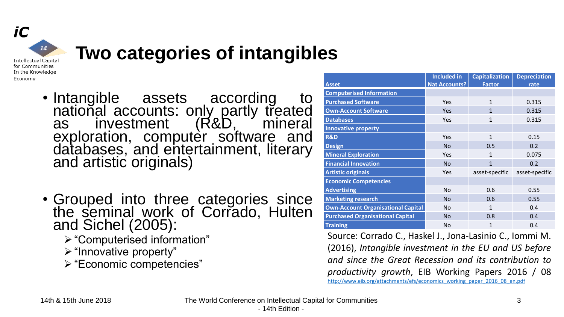

## **Two categories of intangibles**

- Intangible assets according to national accounts: only partly treated as investment (R&D, mineral exploration, computer software and databases, and entertainment, literary and artistic originals)
- Grouped into three categories since the seminal work of Corrado, Hulten and Sichel (2005):
	- ➢"Computerised information"
	- ➢"Innovative property"
	- ➢"Economic competencies"

| <b>Asset</b>                              | <b>Included in</b><br><b>Nat Accounts?</b> | <b>Capitalization</b><br><b>Factor</b> | <b>Depreciation</b><br>rate |
|-------------------------------------------|--------------------------------------------|----------------------------------------|-----------------------------|
| <b>Computerised Information</b>           |                                            |                                        |                             |
| <b>Purchased Software</b>                 | Yes                                        | $\mathbf{1}$                           | 0.315                       |
| <b>Own-Account Software</b>               | Yes                                        | $\mathbf{1}$                           | 0.315                       |
| <b>Databases</b>                          | Yes                                        | $\mathbf{1}$                           | 0.315                       |
| <b>Innovative property</b>                |                                            |                                        |                             |
| <b>R&amp;D</b>                            | Yes                                        | $\mathbf{1}$                           | 0.15                        |
| <b>Design</b>                             | <b>No</b>                                  | 0.5                                    | 0.2                         |
| <b>Mineral Exploration</b>                | Yes                                        | $\mathbf{1}$                           | 0.075                       |
| <b>Financial Innovation</b>               | <b>No</b>                                  | $\mathbf{1}$                           | 0.2                         |
| <b>Artistic originals</b>                 | Yes                                        | asset-specific                         | asset-specific              |
| <b>Economic Competencies</b>              |                                            |                                        |                             |
| <b>Advertising</b>                        | <b>No</b>                                  | 0.6                                    | 0.55                        |
| <b>Marketing research</b>                 | <b>No</b>                                  | 0.6                                    | 0.55                        |
| <b>Own-Account Organisational Capital</b> | <b>No</b>                                  | $\mathbf{1}$                           | 0.4                         |
| <b>Purchased Organisational Capital</b>   | <b>No</b>                                  | 0.8                                    | 0.4                         |
| <b>Training</b>                           | <b>No</b>                                  | 1                                      | 0.4                         |

Source: Corrado C., Haskel J., Jona-Lasinio C., Iommi M. (2016), *Intangible investment in the EU and US before and since the Great Recession and its contribution to productivity growth*, EIB Working Papers 2016 / 08 [http://www.eib.org/attachments/efs/economics\\_working\\_paper\\_2016\\_08\\_en.pdf](http://www.eib.org/attachments/efs/economics_working_paper_2016_08_en.pdf)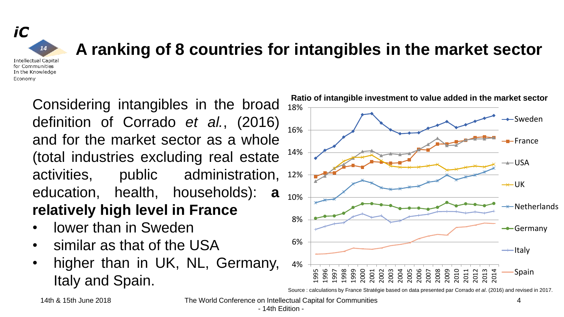### iC  $14$ **Intellectual Capital** for Communities In the Knowledge

Economy

## **A ranking of 8 countries for intangibles in the market sector**

activities, public administration, 12% definition of Corrado *et al.*, (2016) and for the market sector as a whole (total industries excluding real estate education, health, households): **a relatively high level in France**

- lower than in Sweden
- similar as that of the USA
- higher than in UK, NL, Germany, Italy and Spain.



Source : calculations by France Stratégie based on data presented par Corrado *et al*. (2016) and revised in 2017.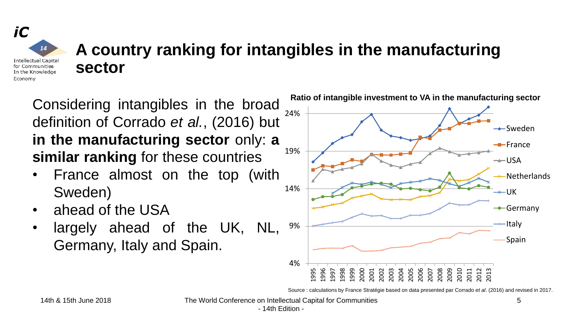#### iC **A country ranking for intangibles in the manufacturing**   $14$ **Intellectual Capital sector**for Communities In the Knowledge Economy

definition of Corrado *et al.*, (2016) but **in the manufacturing sector** only: **a similar ranking** for these countries

- France almost on the top (with Sweden)
- ahead of the USA
- largely ahead of the UK, NL, Germany, Italy and Spain.



Source : calculations by France Stratégie based on data presented par Corrado *et al*. (2016) and revised in 2017.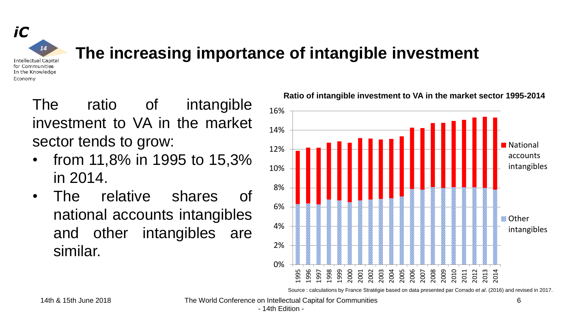

### **The increasing importance of intangible investment**

The ratio of intangible investment to VA in the market sector tends to grow:

- from 11,8% in 1995 to 15,3% in 2014.
- The relative shares of national accounts intangibles and other intangibles are similar.



**Ratio of intangible investment to VA in the market sector 1995-2014**

Source : calculations by France Stratégie based on data presented par Corrado *et al*. (2016) and revised in 2017.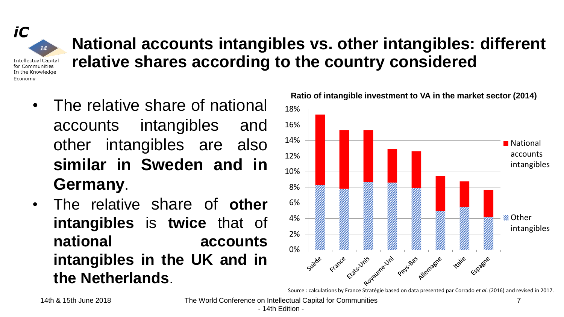$14$ **Intellectual Capital** for Communities In the Knowledge Economy

iC

# **National accounts intangibles vs. other intangibles: different relative shares according to the country considered**

- The relative share of national accounts intangibles and other intangibles are also **similar in Sweden and in Germany**.
- The relative share of **other intangibles** is **twice** that of **national accounts intangibles in the UK and in the Netherlands**.



Source : calculations by France Stratégie based on data presented par Corrado *et al*. (2016) and revised in 2017.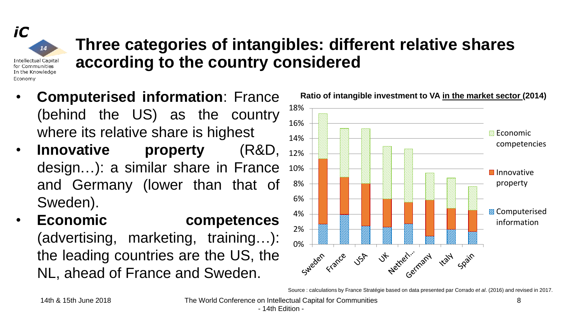iC  $14$ **Intellectual Capital** for Communities In the Knowledge Economy

### **Three categories of intangibles: different relative shares according to the country considered**

- **Computerised information**: France Ratio of intangible investment to VA in the market sector (2014) (behind the US) as the country where its relative share is highest
- **Innovative property** (R&D, design…): a similar share in France and Germany (lower than that of Sweden).
- **Economic competences** (advertising, marketing, training…): the leading countries are the US, the NL, ahead of France and Sweden.



Source : calculations by France Stratégie based on data presented par Corrado *et al*. (2016) and revised in 2017.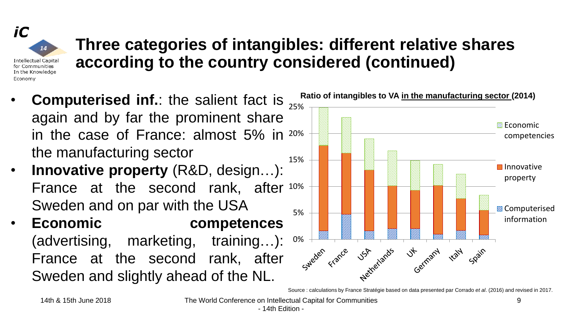iC  $14$ Intellectual Capital for Communities In the Knowledge Economy

## **Three categories of intangibles: different relative shares according to the country considered (continued)**

- **Computerised inf.**: the salient fact is  $\frac{Ratio \space of \space intangles \space to \space Va \space in \space the \space manuscript}$  manufacturing sector (2014) again and by far the prominent share in the case of France: almost 5% in 20% the manufacturing sector
- **Innovative property** (R&D, design…): France at the second rank, after 10% Sweden and on par with the USA
- **Economic competences** (advertising, marketing, training…): France at the second rank, after Sweden and slightly ahead of the NL.



Source : calculations by France Stratégie based on data presented par Corrado *et al*. (2016) and revised in 2017.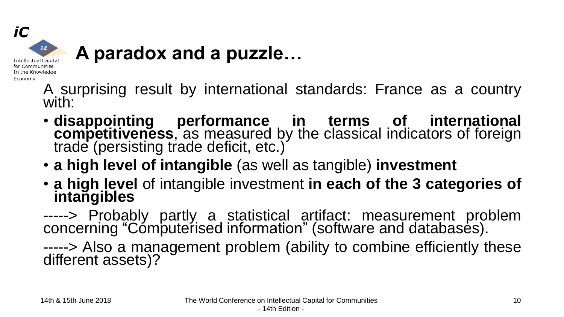

# **A paradox and a puzzle…**

- A surprising result by international standards: France as a country with:
- **disappointing performance in terms of international competitiveness**, as measured by the classical indicators of foreign trade (persisting trade deficit, etc.)
- **a high level of intangible** (as well as tangible) **investment**
- **a high level** of intangible investment **in each of the 3 categories of** intangibles
- -----> Probably partly a statistical artifact: measurement problem concerning "Cómputerised information" (software and databases).
- -----> Also a management problem (ability to combine efficiently these different assets)?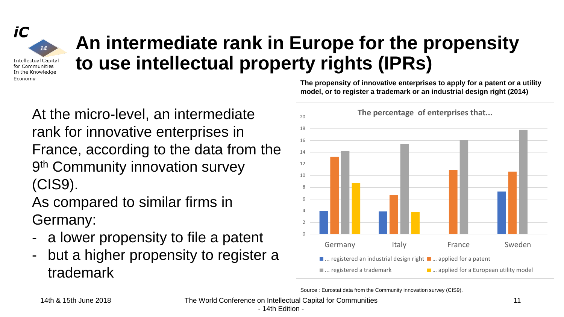#### iC 14 **Intellectual Capital** for Communities In the Knowledge Economy

# **An intermediate rank in Europe for the propensity to use intellectual property rights (IPRs)**

At the micro-level, an intermediate rank for innovative enterprises in France, according to the data from the 9<sup>th</sup> Community innovation survey (CIS9).

As compared to similar firms in Germany:

- a lower propensity to file a patent
- but a higher propensity to register a trademark

**The propensity of innovative enterprises to apply for a patent or a utility model, or to register a trademark or an industrial design right (2014)**



Source : Eurostat data from the Community innovation survey (CIS9).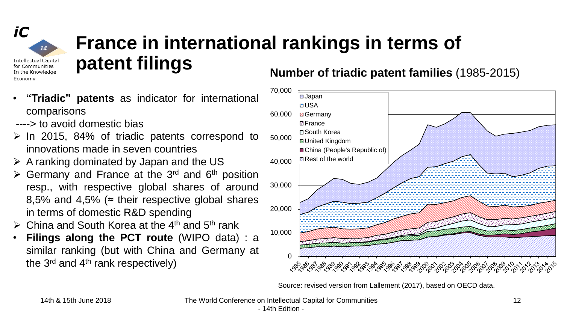

Economy

**Intellectual Capital** for Communities In the Knowledge

# **France in international rankings in terms of patent filings**

- **"Triadic" patents** as indicator for international comparisons
- ----> to avoid domestic bias
- $\geq$  In 2015, 84% of triadic patents correspond to innovations made in seven countries
- $\triangleright$  A ranking dominated by Japan and the US
- $\triangleright$  Germany and France at the 3<sup>rd</sup> and 6<sup>th</sup> position resp., with respective global shares of around 8,5% and 4,5% ( $\approx$  their respective global shares in terms of domestic R&D spending
- $\triangleright$  China and South Korea at the 4<sup>th</sup> and 5<sup>th</sup> rank
- **Filings along the PCT route** (WIPO data) : a similar ranking (but with China and Germany at the 3<sup>rd</sup> and 4<sup>th</sup> rank respectively)

**Number of triadic patent families** (1985-2015)



Source: revised version from Lallement (2017), based on OECD data.

14th & 15th June 2018 The World Conference on Intellectual Capital for Communities

- 14th Edition -